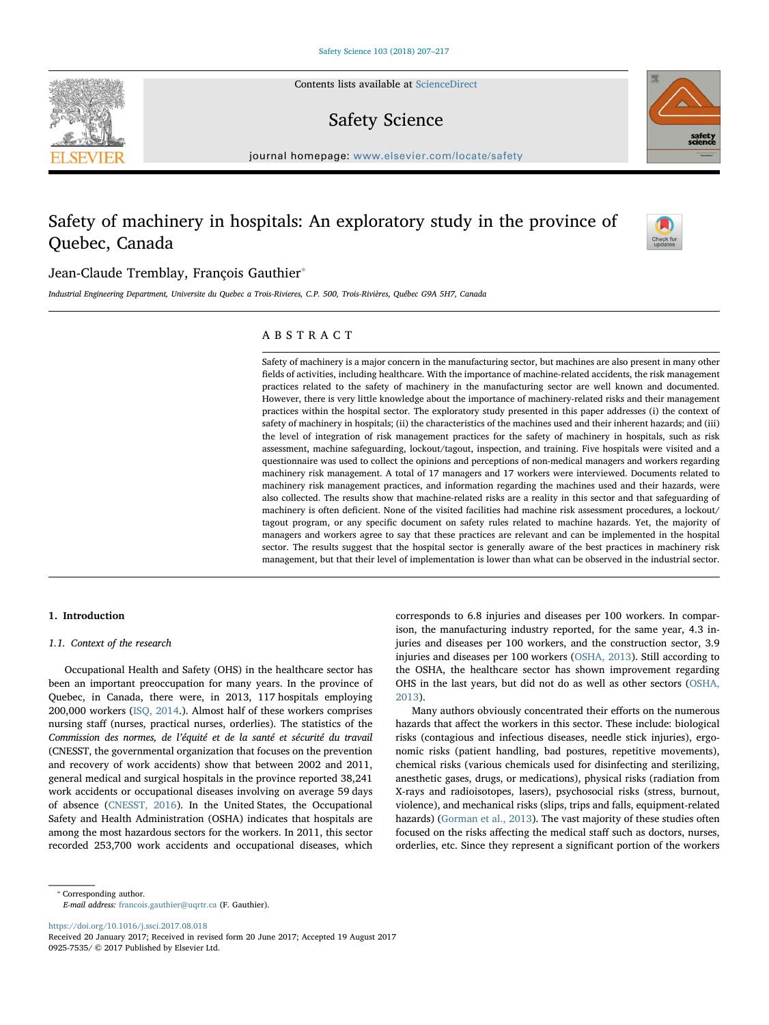Contents lists available at [ScienceDirect](http://www.sciencedirect.com/science/journal/09257535)

## Safety Science

 $j<sub>i</sub>$  and  $k<sub>i</sub>$  in the parameter.com/locate/safety/safety/safety/safety/safety/safety/safety/safety/safety/safety/safety/safety/safety/safety/safety/safety/safety/safety/safety/safety/safety/safety/safety/safety/s

# Safety of machinery in hospitals: An exploratory study in the province of Quebec, Canada



## Jean-Claude Tremblay, François Gauthier<sup>®</sup>

Industrial Engineering Department, Universite du Quebec a Trois-Rivieres, C.P. 500, Trois-Rivières, Québec G9A 5H7, Canada

### ABSTRACT

Safety of machinery is a major concern in the manufacturing sector, but machines are also present in many other fields of activities, including healthcare. With the importance of machine-related accidents, the risk management practices related to the safety of machinery in the manufacturing sector are well known and documented. However, there is very little knowledge about the importance of machinery-related risks and their management practices within the hospital sector. The exploratory study presented in this paper addresses (i) the context of safety of machinery in hospitals; (ii) the characteristics of the machines used and their inherent hazards; and (iii) the level of integration of risk management practices for the safety of machinery in hospitals, such as risk assessment, machine safeguarding, lockout/tagout, inspection, and training. Five hospitals were visited and a questionnaire was used to collect the opinions and perceptions of non-medical managers and workers regarding machinery risk management. A total of 17 managers and 17 workers were interviewed. Documents related to machinery risk management practices, and information regarding the machines used and their hazards, were also collected. The results show that machine-related risks are a reality in this sector and that safeguarding of machinery is often deficient. None of the visited facilities had machine risk assessment procedures, a lockout/ tagout program, or any specific document on safety rules related to machine hazards. Yet, the majority of managers and workers agree to say that these practices are relevant and can be implemented in the hospital sector. The results suggest that the hospital sector is generally aware of the best practices in machinery risk management, but that their level of implementation is lower than what can be observed in the industrial sector.

#### 1. Introduction

#### 1.1. Context of the research

Occupational Health and Safety (OHS) in the healthcare sector has been an important preoccupation for many years. In the province of Quebec, in Canada, there were, in 2013, 117 hospitals employing 200,000 workers (ISQ, 2014.). Almost half of these workers comprises nursing staff (nurses, practical nurses, orderlies). The statistics of the Commission des normes, de l'équité et de la santé et sécurité du travail (CNESST, the governmental organization that focuses on the prevention and recovery of work accidents) show that between 2002 and 2011, general medical and surgical hospitals in the province reported 38,241 work accidents or occupational diseases involving on average 59 days of absence (CNESST, 2016). In the United States, the Occupational Safety and Health Administration (OSHA) indicates that hospitals are among the most hazardous sectors for the workers. In 2011, this sector recorded 253,700 work accidents and occupational diseases, which corresponds to 6.8 injuries and diseases per 100 workers. In comparison, the manufacturing industry reported, for the same year, 4.3 injuries and diseases per 100 workers, and the construction sector, 3.9 injuries and diseases per 100 workers (OSHA, 2013). Still according to the OSHA, the healthcare sector has shown improvement regarding OHS in the last years, but did not do as well as other sectors (OSHA, 2013).

Many authors obviously concentrated their efforts on the numerous hazards that affect the workers in this sector. These include: biological risks (contagious and infectious diseases, needle stick injuries), ergonomic risks (patient handling, bad postures, repetitive movements), chemical risks (various chemicals used for disinfecting and sterilizing, anesthetic gases, drugs, or medications), physical risks (radiation from X-rays and radioisotopes, lasers), psychosocial risks (stress, burnout, violence), and mechanical risks (slips, trips and falls, equipment-related hazards) (Gorman et al., 2013). The vast majority of these studies often focused on the risks affecting the medical staff such as doctors, nurses, orderlies, etc. Since they represent a significant portion of the workers

E-mail address: [francois.gauthier@uqrtr.ca](mailto:francois.gauthier@uqrtr.ca) (F. Gauthier).

<https://doi.org/10.1016/j.ssci.2017.08.018>



<sup>⁎</sup> Corresponding author.

Received 20 January 2017; Received in revised form 20 June 2017; Accepted 19 August 2017 0925-7535/ © 2017 Published by Elsevier Ltd.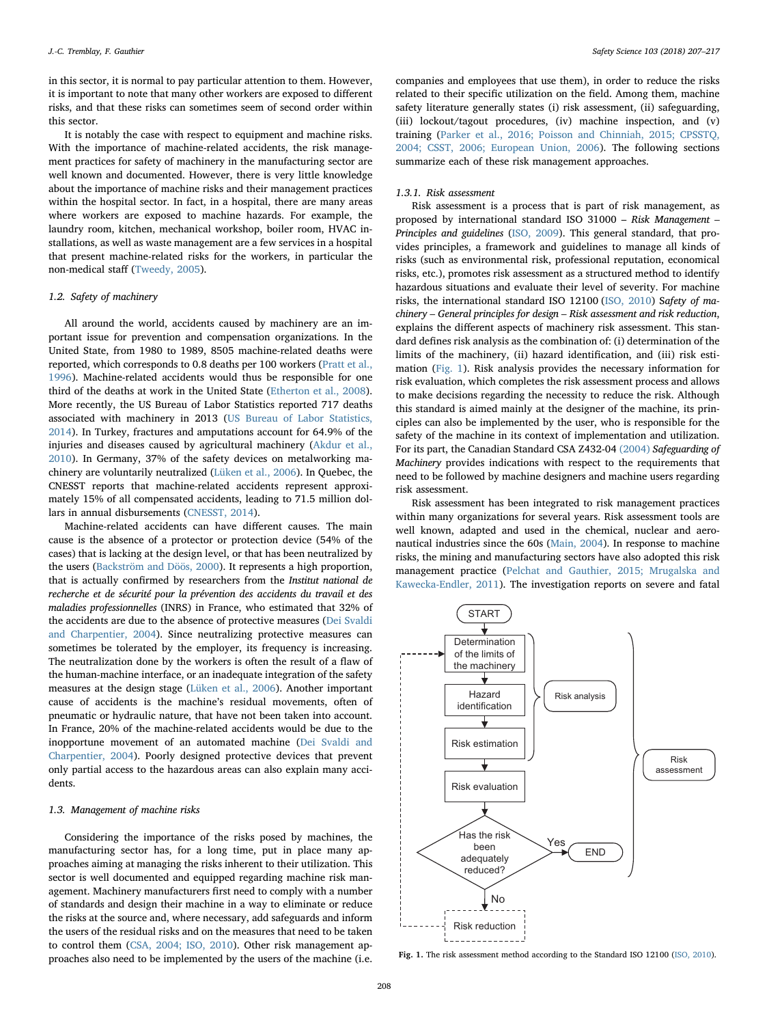in this sector, it is normal to pay particular attention to them. However, it is important to note that many other workers are exposed to different risks, and that these risks can sometimes seem of second order within this sector.

It is notably the case with respect to equipment and machine risks. With the importance of machine-related accidents, the risk management practices for safety of machinery in the manufacturing sector are well known and documented. However, there is very little knowledge about the importance of machine risks and their management practices within the hospital sector. In fact, in a hospital, there are many areas where workers are exposed to machine hazards. For example, the laundry room, kitchen, mechanical workshop, boiler room, HVAC installations, as well as waste management are a few services in a hospital that present machine-related risks for the workers, in particular the non-medical staff (Tweedy, 2005).

#### 1.2. Safety of machinery

All around the world, accidents caused by machinery are an important issue for prevention and compensation organizations. In the United State, from 1980 to 1989, 8505 machine-related deaths were reported, which corresponds to 0.8 deaths per 100 workers (Pratt et al., 1996). Machine-related accidents would thus be responsible for one third of the deaths at work in the United State (Etherton et al., 2008). More recently, the US Bureau of Labor Statistics reported 717 deaths associated with machinery in 2013 (US Bureau of Labor Statistics, 2014). In Turkey, fractures and amputations account for 64.9% of the injuries and diseases caused by agricultural machinery (Akdur et al., 2010). In Germany, 37% of the safety devices on metalworking machinery are voluntarily neutralized (Lüken et al., 2006). In Quebec, the CNESST reports that machine-related accidents represent approximately 15% of all compensated accidents, leading to 71.5 million dollars in annual disbursements (CNESST, 2014).

Machine-related accidents can have different causes. The main cause is the absence of a protector or protection device (54% of the cases) that is lacking at the design level, or that has been neutralized by the users (Backström and Döös, 2000). It represents a high proportion, that is actually confirmed by researchers from the Institut national de recherche et de sécurité pour la prévention des accidents du travail et des maladies professionnelles (INRS) in France, who estimated that 32% of the accidents are due to the absence of protective measures (Dei Svaldi and Charpentier, 2004). Since neutralizing protective measures can sometimes be tolerated by the employer, its frequency is increasing. The neutralization done by the workers is often the result of a flaw of the human-machine interface, or an inadequate integration of the safety measures at the design stage (Lüken et al., 2006). Another important cause of accidents is the machine's residual movements, often of pneumatic or hydraulic nature, that have not been taken into account. In France, 20% of the machine-related accidents would be due to the inopportune movement of an automated machine (Dei Svaldi and Charpentier, 2004). Poorly designed protective devices that prevent only partial access to the hazardous areas can also explain many accidents.

#### 1.3. Management of machine risks

Considering the importance of the risks posed by machines, the manufacturing sector has, for a long time, put in place many approaches aiming at managing the risks inherent to their utilization. This sector is well documented and equipped regarding machine risk management. Machinery manufacturers first need to comply with a number of standards and design their machine in a way to eliminate or reduce the risks at the source and, where necessary, add safeguards and inform the users of the residual risks and on the measures that need to be taken to control them (CSA, 2004; ISO, 2010). Other risk management approaches also need to be implemented by the users of the machine (i.e.

companies and employees that use them), in order to reduce the risks related to their specific utilization on the field. Among them, machine safety literature generally states (i) risk assessment, (ii) safeguarding, (iii) lockout/tagout procedures, (iv) machine inspection, and (v) training (Parker et al., 2016; Poisson and Chinniah, 2015; CPSSTQ, 2004; CSST, 2006; European Union, 2006). The following sections summarize each of these risk management approaches.

#### 1.3.1. Risk assessment

Risk assessment is a process that is part of risk management, as proposed by international standard ISO 31000 – Risk Management – Principles and guidelines (ISO, 2009). This general standard, that provides principles, a framework and guidelines to manage all kinds of risks (such as environmental risk, professional reputation, economical risks, etc.), promotes risk assessment as a structured method to identify hazardous situations and evaluate their level of severity. For machine risks, the international standard ISO 12100 (ISO, 2010) Safety of machinery – General principles for design – Risk assessment and risk reduction, explains the different aspects of machinery risk assessment. This standard defines risk analysis as the combination of: (i) determination of the limits of the machinery, (ii) hazard identification, and (iii) risk estimation (Fig. 1). Risk analysis provides the necessary information for risk evaluation, which completes the risk assessment process and allows to make decisions regarding the necessity to reduce the risk. Although this standard is aimed mainly at the designer of the machine, its principles can also be implemented by the user, who is responsible for the safety of the machine in its context of implementation and utilization. For its part, the Canadian Standard CSA Z432-04 (2004) Safeguarding of Machinery provides indications with respect to the requirements that need to be followed by machine designers and machine users regarding risk assessment.

Risk assessment has been integrated to risk management practices within many organizations for several years. Risk assessment tools are well known, adapted and used in the chemical, nuclear and aeronautical industries since the 60s (Main, 2004). In response to machine risks, the mining and manufacturing sectors have also adopted this risk management practice (Pelchat and Gauthier, 2015; Mrugalska and Kawecka-Endler, 2011). The investigation reports on severe and fatal



Fig. 1. The risk assessment method according to the Standard ISO 12100 (ISO, 2010).